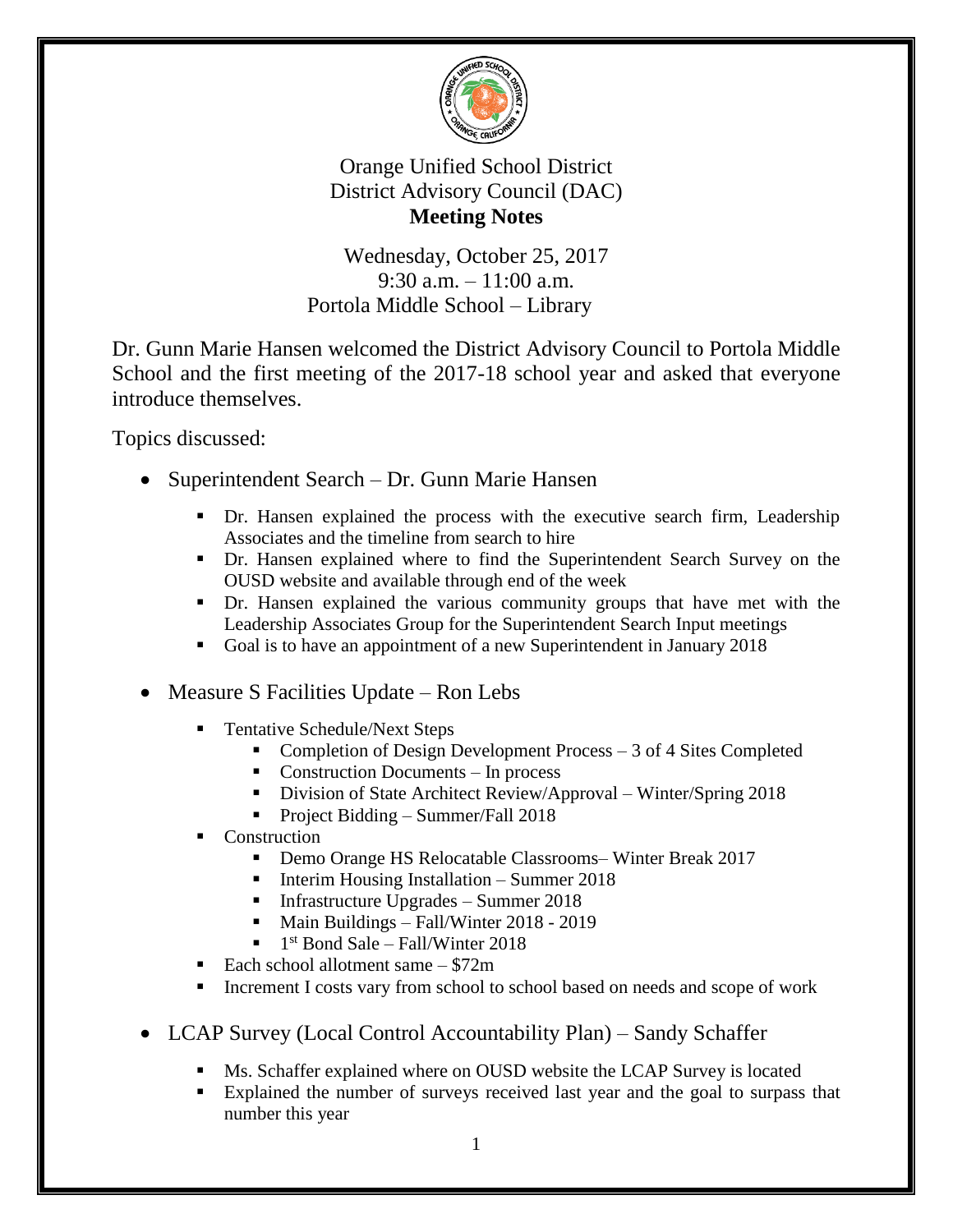

## Orange Unified School District District Advisory Council (DAC) **Meeting Notes**

Wednesday, October 25, 2017 9:30 a.m. – 11:00 a.m. Portola Middle School – Library

Dr. Gunn Marie Hansen welcomed the District Advisory Council to Portola Middle School and the first meeting of the 2017-18 school year and asked that everyone introduce themselves.

Topics discussed:

- Superintendent Search Dr. Gunn Marie Hansen
	- Dr. Hansen explained the process with the executive search firm, Leadership Associates and the timeline from search to hire
	- Dr. Hansen explained where to find the Superintendent Search Survey on the OUSD website and available through end of the week
	- Dr. Hansen explained the various community groups that have met with the Leadership Associates Group for the Superintendent Search Input meetings
	- Goal is to have an appointment of a new Superintendent in January 2018
- Measure S Facilities Update Ron Lebs
	- Tentative Schedule/Next Steps
		- Completion of Design Development Process 3 of 4 Sites Completed
		- $\blacksquare$  Construction Documents In process
		- Division of State Architect Review/Approval Winter/Spring 2018
		- Project Bidding Summer/Fall  $2018$
	- Construction
		- Demo Orange HS Relocatable Classrooms– Winter Break 2017
		- Interim Housing Installation Summer  $2018$
		- Infrastructure Upgrades Summer  $2018$
		- Main Buildings Fall/Winter 2018 2019
		- $\blacksquare$  1<sup>st</sup> Bond Sale Fall/Winter 2018
	- Each school allotment same  $$72m$
	- Increment I costs vary from school to school based on needs and scope of work
- LCAP Survey (Local Control Accountability Plan) Sandy Schaffer
	- Ms. Schaffer explained where on OUSD website the LCAP Survey is located
	- Explained the number of surveys received last year and the goal to surpass that number this year